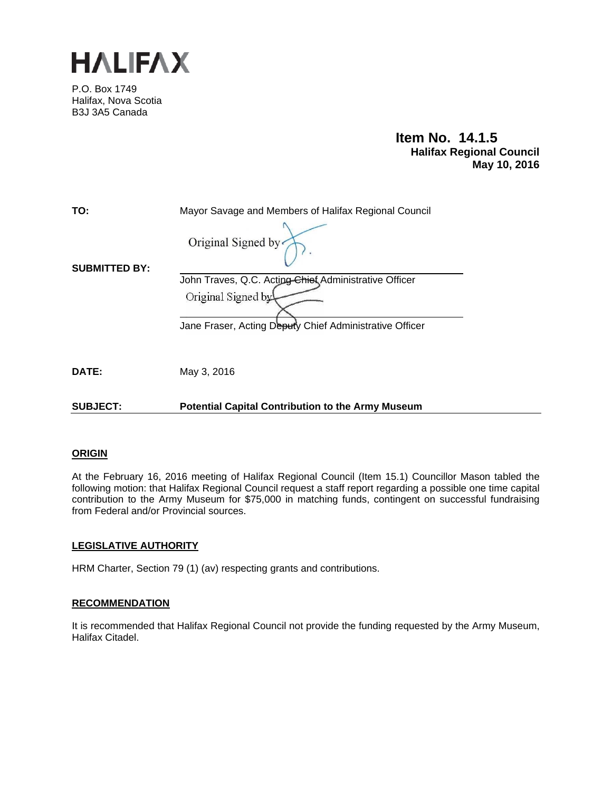

P.O. Box 1749 Halifax, Nova Scotia B3J 3A5 Canada

> **Item No. 14.1.5 Halifax Regional Council May 10, 2016**

| TO:                  | Mayor Savage and Members of Halifax Regional Council     |
|----------------------|----------------------------------------------------------|
| <b>SUBMITTED BY:</b> | Original Signed by                                       |
|                      | John Traves, Q.C. Acting Chief Administrative Officer    |
|                      | Original Signed by                                       |
|                      | Jane Fraser, Acting Deputy Chief Administrative Officer  |
| DATE:                | May 3, 2016                                              |
| <b>SUBJECT:</b>      | <b>Potential Capital Contribution to the Army Museum</b> |

### **ORIGIN**

At the February 16, 2016 meeting of Halifax Regional Council (Item 15.1) Councillor Mason tabled the following motion: that Halifax Regional Council request a staff report regarding a possible one time capital contribution to the Army Museum for \$75,000 in matching funds, contingent on successful fundraising from Federal and/or Provincial sources.

### **LEGISLATIVE AUTHORITY**

HRM Charter, Section 79 (1) (av) respecting grants and contributions.

### **RECOMMENDATION**

It is recommended that Halifax Regional Council not provide the funding requested by the Army Museum, Halifax Citadel.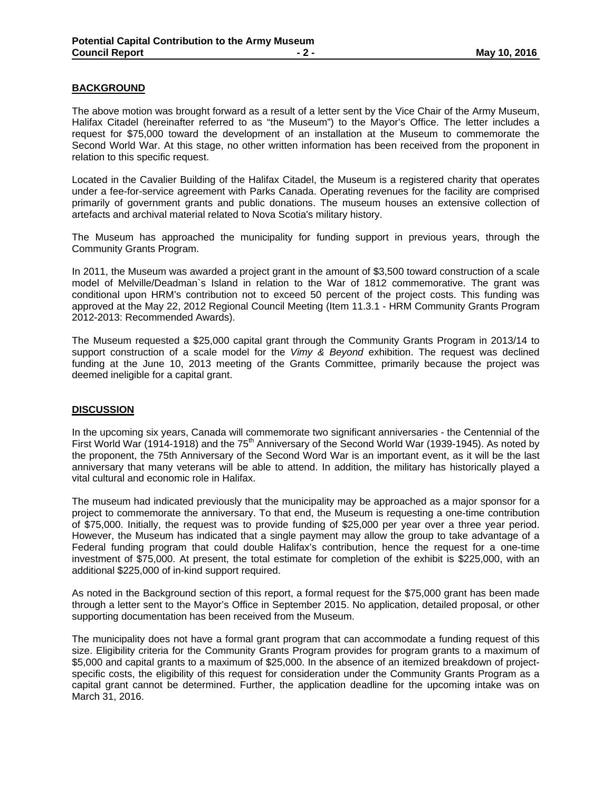## **BACKGROUND**

The above motion was brought forward as a result of a letter sent by the Vice Chair of the Army Museum, Halifax Citadel (hereinafter referred to as "the Museum") to the Mayor's Office. The letter includes a request for \$75,000 toward the development of an installation at the Museum to commemorate the Second World War. At this stage, no other written information has been received from the proponent in relation to this specific request.

Located in the Cavalier Building of the Halifax Citadel, the Museum is a registered charity that operates under a fee-for-service agreement with Parks Canada. Operating revenues for the facility are comprised primarily of government grants and public donations. The museum houses an extensive collection of artefacts and archival material related to Nova Scotia's military history.

The Museum has approached the municipality for funding support in previous years, through the Community Grants Program.

In 2011, the Museum was awarded a project grant in the amount of \$3,500 toward construction of a scale model of Melville/Deadman`s Island in relation to the War of 1812 commemorative. The grant was conditional upon HRM's contribution not to exceed 50 percent of the project costs. This funding was approved at the May 22, 2012 Regional Council Meeting (Item 11.3.1 - HRM Community Grants Program 2012-2013: Recommended Awards).

The Museum requested a \$25,000 capital grant through the Community Grants Program in 2013/14 to support construction of a scale model for the *Vimy & Beyond* exhibition. The request was declined funding at the June 10, 2013 meeting of the Grants Committee, primarily because the project was deemed ineligible for a capital grant.

### **DISCUSSION**

In the upcoming six years, Canada will commemorate two significant anniversaries - the Centennial of the First World War (1914-1918) and the 75<sup>th</sup> Anniversary of the Second World War (1939-1945). As noted by the proponent, the 75th Anniversary of the Second Word War is an important event, as it will be the last anniversary that many veterans will be able to attend. In addition, the military has historically played a vital cultural and economic role in Halifax.

The museum had indicated previously that the municipality may be approached as a major sponsor for a project to commemorate the anniversary. To that end, the Museum is requesting a one-time contribution of \$75,000. Initially, the request was to provide funding of \$25,000 per year over a three year period. However, the Museum has indicated that a single payment may allow the group to take advantage of a Federal funding program that could double Halifax's contribution, hence the request for a one-time investment of \$75,000. At present, the total estimate for completion of the exhibit is \$225,000, with an additional \$225,000 of in-kind support required.

As noted in the Background section of this report, a formal request for the \$75,000 grant has been made through a letter sent to the Mayor's Office in September 2015. No application, detailed proposal, or other supporting documentation has been received from the Museum.

The municipality does not have a formal grant program that can accommodate a funding request of this size. Eligibility criteria for the Community Grants Program provides for program grants to a maximum of \$5,000 and capital grants to a maximum of \$25,000. In the absence of an itemized breakdown of projectspecific costs, the eligibility of this request for consideration under the Community Grants Program as a capital grant cannot be determined. Further, the application deadline for the upcoming intake was on March 31, 2016.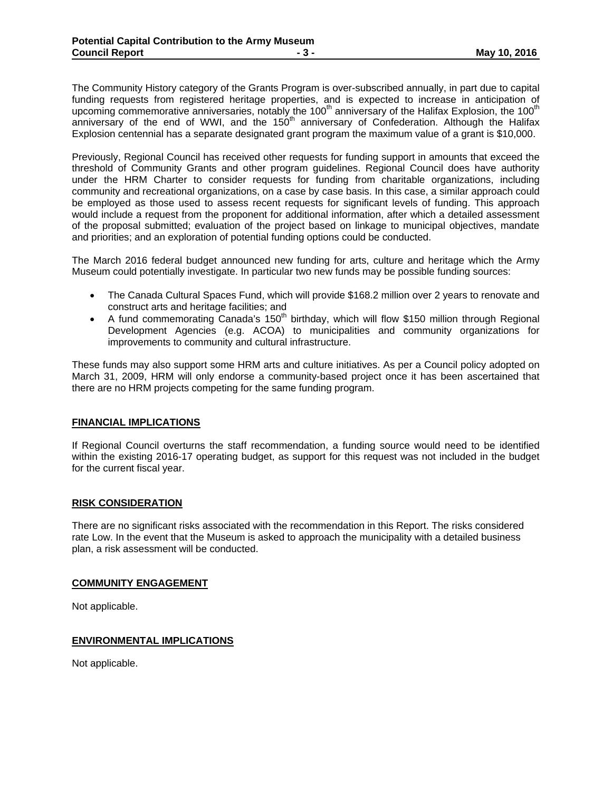The Community History category of the Grants Program is over-subscribed annually, in part due to capital funding requests from registered heritage properties, and is expected to increase in anticipation of upcoming commemorative anniversaries, notably the 100<sup>th</sup> anniversary of the Halifax Explosion, the 100<sup>th</sup> anniversary of the end of WWI, and the 150<sup>th</sup> anniversary of Confederation. Although the Halifax Explosion centennial has a separate designated grant program the maximum value of a grant is \$10,000.

Previously, Regional Council has received other requests for funding support in amounts that exceed the threshold of Community Grants and other program guidelines. Regional Council does have authority under the HRM Charter to consider requests for funding from charitable organizations, including community and recreational organizations, on a case by case basis. In this case, a similar approach could be employed as those used to assess recent requests for significant levels of funding. This approach would include a request from the proponent for additional information, after which a detailed assessment of the proposal submitted; evaluation of the project based on linkage to municipal objectives, mandate and priorities; and an exploration of potential funding options could be conducted.

The March 2016 federal budget announced new funding for arts, culture and heritage which the Army Museum could potentially investigate. In particular two new funds may be possible funding sources:

- The Canada Cultural Spaces Fund, which will provide \$168.2 million over 2 years to renovate and construct arts and heritage facilities; and
- A fund commemorating Canada's  $150<sup>th</sup>$  birthday, which will flow \$150 million through Regional Development Agencies (e.g. ACOA) to municipalities and community organizations for improvements to community and cultural infrastructure.

These funds may also support some HRM arts and culture initiatives. As per a Council policy adopted on March 31, 2009, HRM will only endorse a community-based project once it has been ascertained that there are no HRM projects competing for the same funding program.

### **FINANCIAL IMPLICATIONS**

If Regional Council overturns the staff recommendation, a funding source would need to be identified within the existing 2016-17 operating budget, as support for this request was not included in the budget for the current fiscal year.

### **RISK CONSIDERATION**

There are no significant risks associated with the recommendation in this Report. The risks considered rate Low. In the event that the Museum is asked to approach the municipality with a detailed business plan, a risk assessment will be conducted.

#### **COMMUNITY ENGAGEMENT**

Not applicable.

### **ENVIRONMENTAL IMPLICATIONS**

Not applicable.